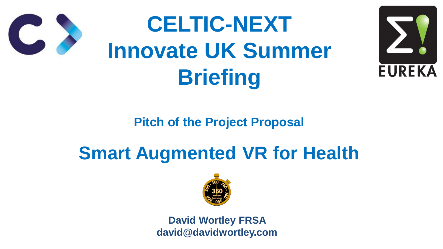### **Pitch of the Project Proposal**





## **Smart Augmented VR for Health**





# **CELTIC-NEXT Innovate UK Summer Briefing**



#### **David Wortley FRSA david@davidwortley.com**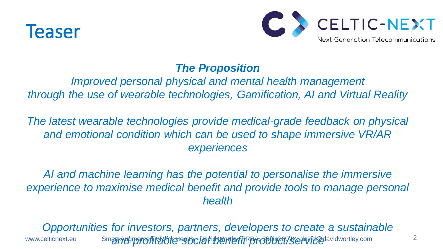

#### *The Proposition*

*Improved personal physical and mental health management through the use of wearable technologies, Gamification, AI and Virtual Reality*

AI and machine learning has the potential to personalise the immersive experience to maximise medical benefit and provide tools to manage personal *health*

*Opportunities for investors, partners, developers to create a sustainable* www.celticnext.eu Smart Augmentefit a toteles to CPaYid Yenter TR prototice year video avid wortley.com



*The latest wearable technologies provide medical-grade feedback on physical and emotional condition which can be used to shape immersive VR/AR experiences*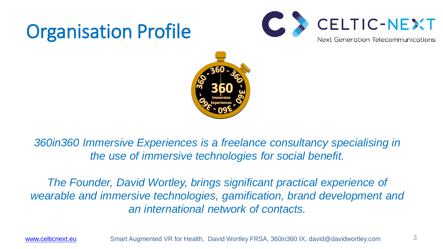## Organisation Profile



[www.celticnext.eu](http://www.celticnext.eu/) Smart Augmented VR for Health, David Wortley FRSA, 360in360 IX, david@davidwortley.com



**360in360 Immersive Experiences is a freelance consultancy specialising in** *the use of immersive technologies for social benefit.* 

**The Founder, David Wortley, brings significant practical experience of** wearable and immersive technologies, gamification, brand development and *an international network of contacts.*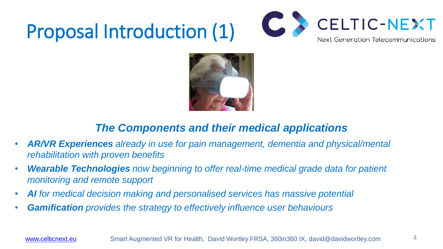## Proposal Introduction (1)



### *The Components and their medical applications*

- *AR/VR Experiences already in use for pain management, dementia and physical/mental rehabilitation with proven benefits*
- *Wearable Technologies now beginning to offer real-time medical grade data for patient monitoring and remote support*
- *AI for medical decision making and personalised services has massive potential*
- *Gamification provides the strategy to effectively influence user behaviours*

[www.celticnext.eu](http://www.celticnext.eu/) Smart Augmented VR for Health, David Wortley FRSA, 360in360 IX, david@davidwortley.com

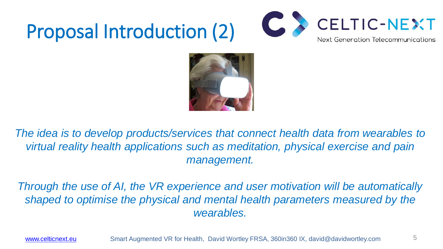## Proposal Introduction (2)







The idea is to develop products/services that connect health data from wearables to *virtual reality health applications such as meditation, physical exercise and pain management.*

*Through the use of AI, the VR experience and user motivation will be automatically shaped to optimise the physical and mental health parameters measured by the wearables.*

[www.celticnext.eu](http://www.celticnext.eu/) Smart Augmented VR for Health, David Wortley FRSA, 360in360 IX, david@davidwortley.com

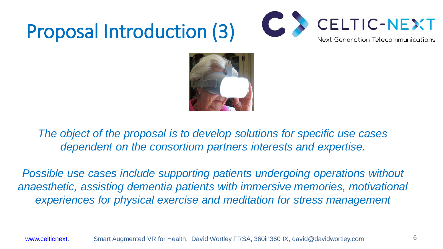## Proposal Introduction (3)



*The object of the proposal is to develop solutions for specific use cases dependent on the consortium partners interests and expertise.*

**Possible use cases include supporting patients undergoing operations without** anaesthetic, assisting dementia patients with immersive memories, motivational *experiences for physical exercise and meditation for stress management*

[www.celticnext.](http://www.celticnext/) Smart Augmented VR for Health, David Wortley FRSA, 360in360 IX, david@davidwortley.com

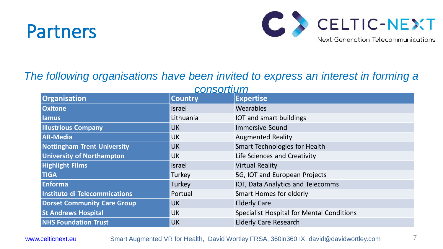## Partners



## *The following organisations have been invited to express an interest in forming a*

**Organisation Oxitone Israel Wearables Iamus Internal Controllering Controllering Controllering Controllering Controllering Controllering Controllering Controllering Controllering Controllering Controllering Controllering Controllering Controllering Controll Illustrious Company New York Sounds AR-Media CONFIRENTIAL CONTROLLER CONTROLLER CONTROLLER AUGMENTED Reality Nottingham Trent University Nottingham Technologies for Health III University of Northampton UK Highlight Films Islamic Reality Control Reality Properties and Reality Properties and Reality Properties and Reality Properties and Reality Properties and Reality Properties and Reality Properties and Reality Properties** TIGA **TRIGA Turkey** 5G, IOT and European Projects **Enforma Turkey Turkey IOT, Data Analytics and Telecomms Instituto di Telecommications The Portual Romandong For Election Angles For Election Angles For Election Angles For Election Angles For Election Angles For Election Angles For Election Angles For Election Angles For Elect Dorset Community Care Group Transform Transform Community Care Group St Andrews Hospital For Mental Conditions Hospital For Mental Conditions In Mental Conditions In Mental Conditi NHS Foundation Trust Lating Care Research Care Research Care Research Care Research Care Research Care Research Care Research Care Research Care Research Care Research Care Research Care Research Care Research Care Rese** 

#### [www.celticnext.eu](http://www.celticnext.eu/) Smart Augmented VR for Health, David Wortley FRSA, 360in360 IX, david@davidwortley.com



| consortium     |                                                  |
|----------------|--------------------------------------------------|
| <b>Country</b> | <b>Expertise</b>                                 |
| Israel         | Wearables                                        |
| Lithuania      | IOT and smart buildings                          |
| <b>UK</b>      | <b>Immersive Sound</b>                           |
| <b>UK</b>      | <b>Augmented Reality</b>                         |
| <b>UK</b>      | <b>Smart Technologies for Health</b>             |
| <b>UK</b>      | Life Sciences and Creativity                     |
| Israel         | <b>Virtual Reality</b>                           |
| Turkey         | 5G, IOT and European Projects                    |
| Turkey         | IOT, Data Analytics and Telecomms                |
| Portual        | <b>Smart Homes for elderly</b>                   |
| <b>UK</b>      | <b>Elderly Care</b>                              |
| <b>UK</b>      | <b>Specialist Hospital for Mental Conditions</b> |
| <b>UK</b>      | <b>Elderly Care Research</b>                     |
|                |                                                  |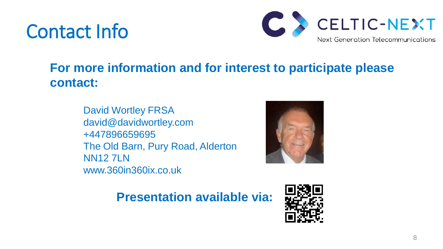## Contact Info

### **For more information and for interest to participate please contact:**

David Wortley FRSA david@davidwortley.com +447896659695 The Old Barn, Pury Road, Alderton NN12 7LN www.360in360ix.co.uk

### **Presentation available via:**